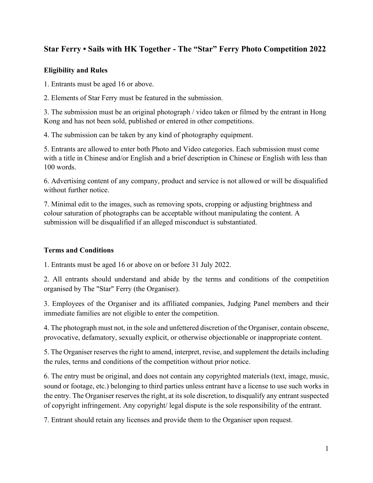## **Star Ferry • Sails with HK Together - The "Star" Ferry Photo Competition 2022**

## **Eligibility and Rules**

1. Entrants must be aged 16 or above.

2. Elements of Star Ferry must be featured in the submission.

3. The submission must be an original photograph / video taken or filmed by the entrant in Hong Kong and has not been sold, published or entered in other competitions.

4. The submission can be taken by any kind of photography equipment.

5. Entrants are allowed to enter both Photo and Video categories. Each submission must come with a title in Chinese and/or English and a brief description in Chinese or English with less than 100 words.

6. Advertising content of any company, product and service is not allowed or will be disqualified without further notice.

7. Minimal edit to the images, such as removing spots, cropping or adjusting brightness and colour saturation of photographs can be acceptable without manipulating the content. A submission will be disqualified if an alleged misconduct is substantiated.

## **Terms and Conditions**

1. Entrants must be aged 16 or above on or before 31 July 2022.

2. All entrants should understand and abide by the terms and conditions of the competition organised by The "Star" Ferry (the Organiser).

3. Employees of the Organiser and its affiliated companies, Judging Panel members and their immediate families are not eligible to enter the competition.

4. The photograph must not, in the sole and unfettered discretion of the Organiser, contain obscene, provocative, defamatory, sexually explicit, or otherwise objectionable or inappropriate content.

5. The Organiser reserves the right to amend, interpret, revise, and supplement the details including the rules, terms and conditions of the competition without prior notice.

6. The entry must be original, and does not contain any copyrighted materials (text, image, music, sound or footage, etc.) belonging to third parties unless entrant have a license to use such works in the entry. The Organiser reserves the right, at its sole discretion, to disqualify any entrant suspected of copyright infringement. Any copyright/ legal dispute is the sole responsibility of the entrant.

7. Entrant should retain any licenses and provide them to the Organiser upon request.